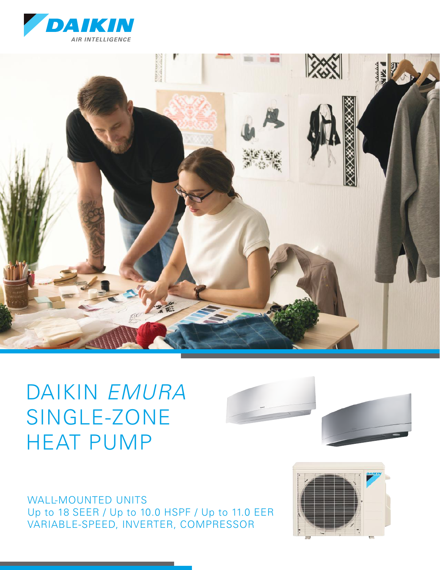



# DAIKIN *EMURA* SINGLE-ZONE HEAT PUMP



WALL-MOUNTED UNITS Up to 18 SEER / Up to 10.0 HSPF / Up to 11.0 EER VARIABLE-SPEED, INVERTER, COMPRESSOR

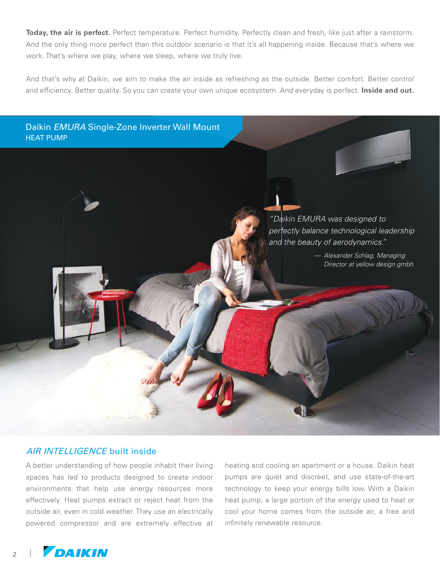**Today, the air is perfect.** Perfect temperature. Perfect humidity. Perfectly clean and fresh, like just after a rainstorm. And the only thing more perfect than this outdoor scenario is that it's all happening inside. Because that's where we work. That's where we play, where we sleep, where we truly live.

And that's why at Daikin, we aim to make the air inside as refreshing as the outside. Better comfort. Better control and efficiency. Better quality. So you can create your own unique ecosystem. And everyday is perfect. **Inside and out.**

Daikin *EMURA* Single-Zone Inverter Wall Mount HEAT PUMP



— *Alexander Schlag, Managing Director at yellow design gmbh*

# AIR INTELLIGENCE built inside

A better understanding of how people inhabit their living spaces has led to products designed to create indoor environments that help use energy resources more effectively. Heat pumps extract or reject heat from the outside air, even in cold weather. They use an electrically powered compressor and are extremely effective at

heating and cooling an apartment or a house. Daikin heat pumps are quiet and discreet, and use state-of-the-art technology to keep your energy bills low. With a Daikin heat pump, a large portion of the energy used to heat or cool your home comes from the outside air, a free and infinitely renewable resource.



2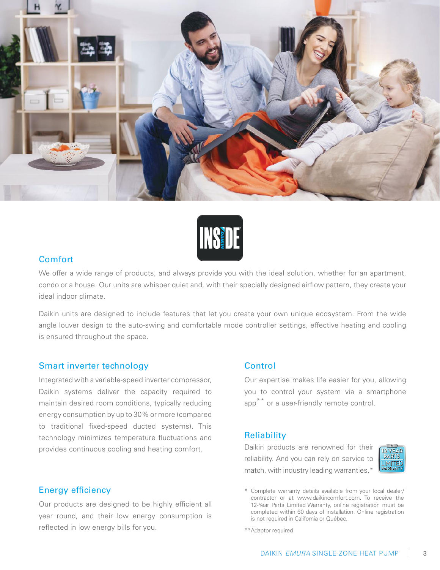



### Comfort

We offer a wide range of products, and always provide you with the ideal solution, whether for an apartment, condo or a house. Our units are whisper quiet and, with their specially designed airflow pattern, they create your ideal indoor climate.

Daikin units are designed to include features that let you create your own unique ecosystem. From the wide angle louver design to the auto-swing and comfortable mode controller settings, effective heating and cooling is ensured throughout the space.

#### Smart inverter technology

Integrated with a variable-speed inverter compressor, Daikin systems deliver the capacity required to maintain desired room conditions, typically reducing energy consumption by up to 30% or more (compared to traditional fixed-speed ducted systems). This technology minimizes temperature fluctuations and provides continuous cooling and heating comfort.

#### Energy efficiency

Our products are designed to be highly efficient all year round, and their low energy consumption is reflected in low energy bills for you.

### Control

Our expertise makes life easier for you, allowing you to control your system via a smartphone app<sup>\*\*</sup> or a user-friendly remote control.

#### **Reliability**

Daikin products are renowned for their reliability. And you can rely on service to match, with industry leading warranties.<sup>\*</sup>



<sup>\*</sup> Complete warranty details available from your local dealer/ contractor or at www.daikincomfort.com. To receive the 12-Year Parts Limited Warranty, online registration must be completed within 60 days of installation. Online registration is not required in California or Québec.

\*\*Adaptor required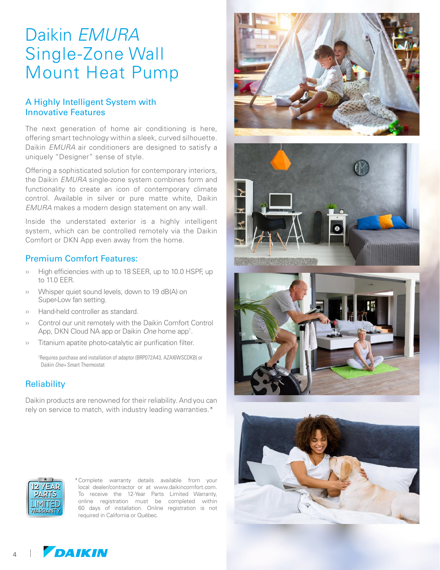# Daikin *EMURA* Single-Zone Wall Mount Heat Pump

# A Highly Intelligent System with Innovative Features

The next generation of home air conditioning is here, offering smart technology within a sleek, curved silhouette. Daikin *EMURA* air conditioners are designed to satisfy a uniquely "Designer" sense of style.

Offering a sophisticated solution for contemporary interiors, the Daikin *EMURA* single-zone system combines form and functionality to create an icon of contemporary climate control. Available in silver or pure matte white, Daikin *EMURA* makes a modern design statement on any wall.

Inside the understated exterior is a highly intelligent system, which can be controlled remotely via the Daikin Comfort or DKN App even away from the home.

### Premium Comfort Features:

- High efficiencies with up to 18 SEER, up to 10.0 HSPF, up to 11.0 EER.
- ›› Whisper quiet sound levels, down to 19 dB(A) on Super-Low fan setting.
- ›› Hand-held controller as standard.
- ›› Control our unit remotely with the Daikin Comfort Control App, DKN Cloud NA app or Daikin One home app<sup>1</sup>.
- ›› Titanium apatite photo-catalytic air purification filter.

1 Requires purchase and installation of adaptor (BRP072A43, AZAI6WSCDKB) or Daikin *One+* Smart Thermostat

# **Reliability**

Daikin products are renowned for their reliability. And you can rely on service to match, with industry leading warranties.\*











\*Complete warranty details available from your local dealer/contractor or at www.daikincomfort.com. To receive the 12-Year Parts Limited Warranty, online registration must be completed within 60 days of installation. Online registration is not required in California or Québec.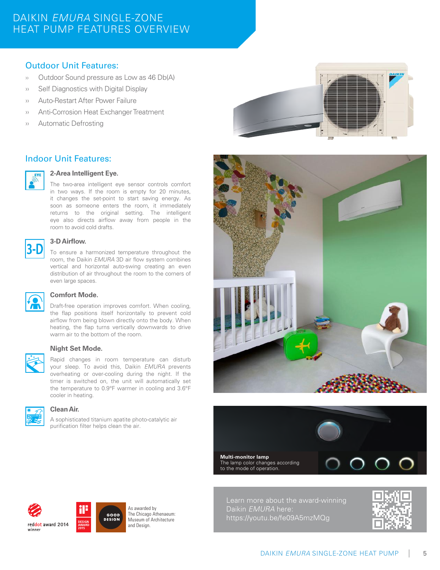# DAIKIN *EMURA* SINGLE-ZONE HEAT PUMP FEATURES OVERVIEW

# Outdoor Unit Features:

- ›› Outdoor Sound pressure as Low as 46 Db(A)
- ›› Self Diagnostics with Digital Display
- ›› Auto-Restart After Power Failure
- ›› Anti-Corrosion Heat Exchanger Treatment
- ›› Automatic Defrosting

# Indoor Unit Features:



#### **2-Area Intelligent Eye.**

The two-area intelligent eye sensor controls comfort in two ways. If the room is empty for 20 minutes, it changes the set-point to start saving energy. As soon as someone enters the room, it immediately returns to the original setting. The intelligent eye also directs airflow away from people in the room to avoid cold drafts.



#### **3-D Airflow.**

To ensure a harmonized temperature throughout the room, the Daikin *EMURA* 3D air flow system combines vertical and horizontal auto-swing creating an even distribution of air throughout the room to the corners of even large spaces.



#### **Comfort Mode.**

Draft-free operation improves comfort. When cooling, the flap positions itself horizontally to prevent cold airflow from being blown directly onto the body. When heating, the flap turns vertically downwards to drive warm air to the bottom of the room.



#### **Night Set Mode.**

Rapid changes in room temperature can disturb your sleep. To avoid this, Daikin *EMURA* prevents overheating or over-cooling during the night. If the timer is switched on, the unit will automatically set the temperature to 0.9°F warmer in cooling and 3.6°F cooler in heating.



#### **Clean Air.**

A sophisticated titanium apatite photo-catalytic air purification filter helps clean the air.

GOOD<br>DESIGN

As awarded by The Chicago Athenaeum: Museum of Architecture and Design.



**Multi-monitor lamp** The lamp color changes according to the mode of operation.



Learn more about the award-winning Daikin *EMURA* here: https://youtu.be/fe09A5mzMQg



reddot award 2014 winner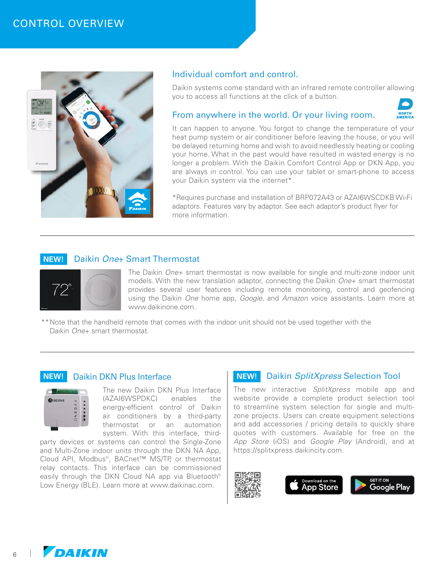

### Individual comfort and control.

Daikin systems come standard with an infrared remote controller allowing you to access all functions at the click of a button.

#### From anywhere in the world. Or your living room.



It can happen to anyone. You forgot to change the temperature of your heat pump system or air conditioner before leaving the house, or you will be delayed returning home and wish to avoid needlessly heating or cooling your home. What in the past would have resulted in wasted energy is no longer a problem. With the Daikin Comfort Control App or DKN App, you are always in control. You can use your tablet or smart-phone to access your Daikin system via the internet\*.

\*Requires purchase and installation of BRP072A43 or AZAI6WSCDKB Wi-Fi adaptors. Features vary by adaptor. See each adaptor's product flyer for more information.

#### **NEW!** Daikin *One+* Smart Thermostat



The Daikin *One*+ smart thermostat is now available for single and multi-zone indoor unit models. With the new translation adaptor, connecting the Daikin *One*+ smart thermostat provides several user features including remote monitoring, control and geofencing using the Daikin *One* home app, *Google*, and *Amazon* voice assistants. Learn more at www.daikinone.com.

\*\*Note that the handheld remote that comes with the indoor unit should not be used together with the Daikin *One*+ smart thermostat.

#### **NEW!** Daikin DKN Plus Interface



The new Daikin DKN Plus Interface (AZAI6WSPDKC) enables the energy-efficient control of Daikin air conditioners by a third-party thermostat or an automation system. With this interface, third-

party devices or systems can control the Single-Zone and Multi-Zone indoor units through the DKN NA App, Cloud API, Modbus®, BACnet™ MS/TP, or thermostat relay contacts. This interface can be commissioned easily through the DKN Cloud NA app via Bluetooth® Low Energy (BLE). Learn more at www.daikinac.com.

## **NEW!** Daikin *SplitXpress* Selection Tool

The new interactive *SplitXpress* mobile app and website provide a complete product selection tool to streamline system selection for single and multizone projects. Users can create equipment selections and add accessories / pricing details to quickly share quotes with customers. Available for free on the *App Store* (iOS) and *Google Play* (Android), and at https://splitxpress.daikincity.com.





6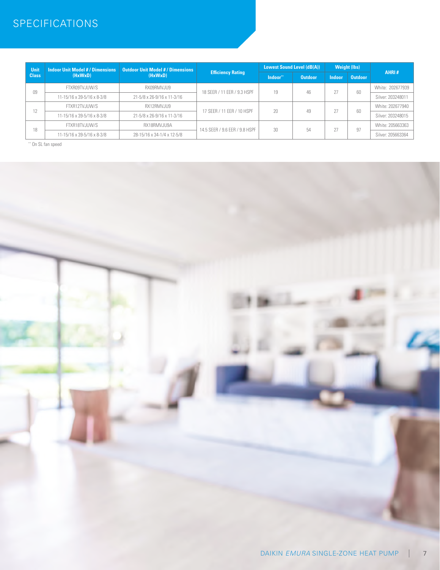# **SPECIFICATIONS**

| Unit<br><b>Class</b> | <b>Indoor Unit Model #/Dimensions</b><br>$(H \times W \times D)$ | <b>Outdoor Unit Model #/Dimensions</b><br>(HxWxD) | <b>Efficiency Rating</b>       | <b>Lowest Sound Level (dB(A))</b> |                | <b>Weight (lbs)</b> |                |                   |
|----------------------|------------------------------------------------------------------|---------------------------------------------------|--------------------------------|-----------------------------------|----------------|---------------------|----------------|-------------------|
|                      |                                                                  |                                                   |                                | Indoor"                           | <b>Outdoor</b> | <b>Indoor</b>       | <b>Outdoor</b> | AHRI#             |
| 09                   | FTXR09TVJUW/S                                                    | RX09RMVJU9                                        | 18 SEER / 11 EER / 9.3 HSPF    | 19                                | 46             | 27                  | 60             | White: 202677939  |
|                      | 11-15/16 x 39-5/16 x 8-3/8                                       | 21-5/8 x 26-9/16 x 11-3/16                        |                                |                                   |                |                     |                | Silver: 203248011 |
| 12                   | FTXR12TVJUW/S                                                    | RX12RMVJU9                                        | 17 SEER / 11 EER / 10 HSPF     | 20                                | 49             | 27                  | 60             | White: 202677940  |
|                      | 11-15/16 x 39-5/16 x 8-3/8                                       | 21-5/8 x 26-9/16 x 11-3/16                        |                                |                                   |                |                     |                | Silver: 203248015 |
| 18                   | FTXR18TVJUW/S                                                    | RX18RMVJU9A                                       | 14.5 SEER / 9.6 EER / 9.8 HSPF | 30                                | 54             | 27                  | 97             | White: 205663363  |
|                      | 11-15/16 x 39-5/16 x 8-3/8                                       | 28-15/16 x 34-1/4 x 12-5/8                        |                                |                                   |                |                     |                | Silver: 205663364 |

\*\* On SL fan speed